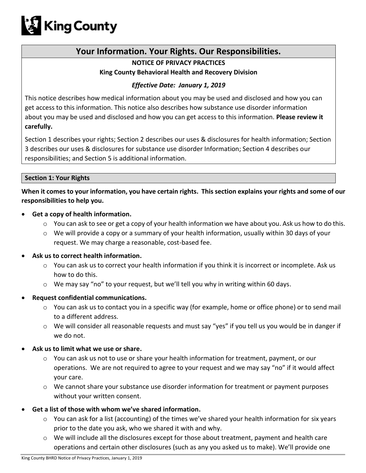

# **Your Information. Your Rights. Our Responsibilities.**

# **NOTICE OF PRIVACY PRACTICES King County Behavioral Health and Recovery Division**

# *Effective Date: January 1, 2019*

This notice describes how medical information about you may be used and disclosed and how you can get access to this information. This notice also describes how substance use disorder information about you may be used and disclosed and how you can get access to this information. **Please review it carefully.**

Section 1 describes your rights; Section 2 describes our uses & disclosures for health information; Section 3 describes our uses & disclosures for substance use disorder Information; Section 4 describes our responsibilities; and Section 5 is additional information.

#### **Section 1: Your Rights**

**When it comes to your information, you have certain rights. This section explains your rights and some of our responsibilities to help you.** 

- **Get a copy of health information.**
	- $\circ$  You can ask to see or get a copy of your health information we have about you. Ask us how to do this.
	- o We will provide a copy or a summary of your health information, usually within 30 days of your request. We may charge a reasonable, cost-based fee.
- **Ask us to correct health information.**
	- o You can ask us to correct your health information if you think it is incorrect or incomplete. Ask us how to do this.
	- $\circ$  We may say "no" to your request, but we'll tell you why in writing within 60 days.
- **Request confidential communications.**
	- $\circ$  You can ask us to contact you in a specific way (for example, home or office phone) or to send mail to a different address.
	- $\circ$  We will consider all reasonable requests and must say "yes" if you tell us you would be in danger if we do not.
- **Ask us to limit what we use or share.**
	- $\circ$  You can ask us not to use or share your health information for treatment, payment, or our operations. We are not required to agree to your request and we may say "no" if it would affect your care.
	- o We cannot share your substance use disorder information for treatment or payment purposes without your written consent.
- **Get a list of those with whom we've shared information.**
	- $\circ$  You can ask for a list (accounting) of the times we've shared your health information for six years prior to the date you ask, who we shared it with and why.
	- $\circ$  We will include all the disclosures except for those about treatment, payment and health care operations and certain other disclosures (such as any you asked us to make). We'll provide one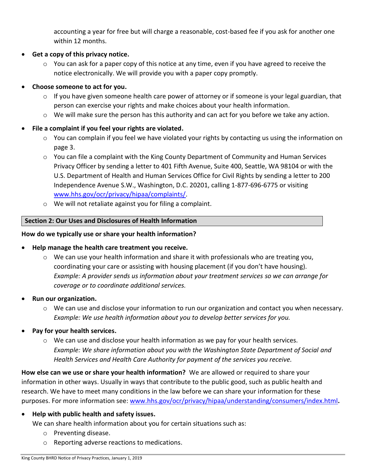accounting a year for free but will charge a reasonable, cost-based fee if you ask for another one within 12 months.

- **Get a copy of this privacy notice.**
	- $\circ$  You can ask for a paper copy of this notice at any time, even if you have agreed to receive the notice electronically. We will provide you with a paper copy promptly.
- **Choose someone to act for you.**
	- $\circ$  If you have given someone health care power of attorney or if someone is your legal guardian, that person can exercise your rights and make choices about your health information.
	- o We will make sure the person has this authority and can act for you before we take any action.

# **File a complaint if you feel your rights are violated.**

- o You can complain if you feel we have violated your rights by contacting us using the information on page 3.
- $\circ$  You can file a complaint with the King County Department of Community and Human Services Privacy Officer by sending a letter to 401 Fifth Avenue, Suite 400, Seattle, WA 98104 or with the U.S. Department of Health and Human Services Office for Civil Rights by sending a letter to 200 Independence Avenue S.W., Washington, D.C. 20201, calling 1-877-696-6775 or visiting [www.hhs.gov/ocr/privacy/hipaa/complaints/.](http://www.hhs.gov/ocr/privacy/hipaa/complaints/)
- o We will not retaliate against you for filing a complaint.

# **Section 2: Our Uses and Disclosures of Health Information**

# **How do we typically use or share your health information?**

#### **Help manage the health care treatment you receive.**

- $\circ$  We can use your health information and share it with professionals who are treating you, coordinating your care or assisting with housing placement (if you don't have housing). *Example: A provider sends us information about your treatment services so we can arrange for coverage or to coordinate additional services.*
- **Run our organization.**
	- $\circ$  We can use and disclose your information to run our organization and contact you when necessary. *Example: We use health information about you to develop better services for you.*
- **Pay for your health services.**
	- $\circ$  We can use and disclose your health information as we pay for your health services. *Example: We share information about you with the Washington State Department of Social and Health Services and Health Care Authority for payment of the services you receive.*

**How else can we use or share your health information?** We are allowed or required to share your information in other ways. Usually in ways that contribute to the public good, such as public health and research. We have to meet many conditions in the law before we can share your information for these purposes. For more information see: [www.hhs.gov/ocr/privacy/hipaa/understanding/consumers/index.html](http://www.hhs.gov/ocr/privacy/hipaa/understanding/consumers/index.html)**.**

**Help with public health and safety issues.**

We can share health information about you for certain situations such as:

- o Preventing disease.
- o Reporting adverse reactions to medications.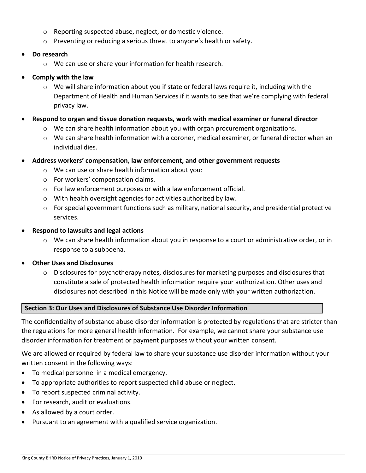- o Reporting suspected abuse, neglect, or domestic violence.
- $\circ$  Preventing or reducing a serious threat to anyone's health or safety.
- **Do research**
	- o We can use or share your information for health research.
- **Comply with the law**
	- $\circ$  We will share information about you if state or federal laws require it, including with the Department of Health and Human Services if it wants to see that we're complying with federal privacy law.
- **Respond to organ and tissue donation requests, work with medical examiner or funeral director**
	- $\circ$  We can share health information about you with organ procurement organizations.
	- o We can share health information with a coroner, medical examiner, or funeral director when an individual dies.
- **Address workers' compensation, law enforcement, and other government requests**
	- o We can use or share health information about you:
	- o For workers' compensation claims.
	- o For law enforcement purposes or with a law enforcement official.
	- o With health oversight agencies for activities authorized by law.
	- $\circ$  For special government functions such as military, national security, and presidential protective services.
- **Respond to lawsuits and legal actions**
	- $\circ$  We can share health information about you in response to a court or administrative order, or in response to a subpoena.
- **Other Uses and Disclosures**
	- o Disclosures for psychotherapy notes, disclosures for marketing purposes and disclosures that constitute a sale of protected health information require your authorization. Other uses and disclosures not described in this Notice will be made only with your written authorization.

#### **Section 3: Our Uses and Disclosures of Substance Use Disorder Information**

The confidentiality of substance abuse disorder information is protected by regulations that are stricter than the regulations for more general health information. For example, we cannot share your substance use disorder information for treatment or payment purposes without your written consent.

We are allowed or required by federal law to share your substance use disorder information without your written consent in the following ways:

- To medical personnel in a medical emergency.
- To appropriate authorities to report suspected child abuse or neglect.
- To report suspected criminal activity.
- For research, audit or evaluations.
- As allowed by a court order.
- Pursuant to an agreement with a qualified service organization.